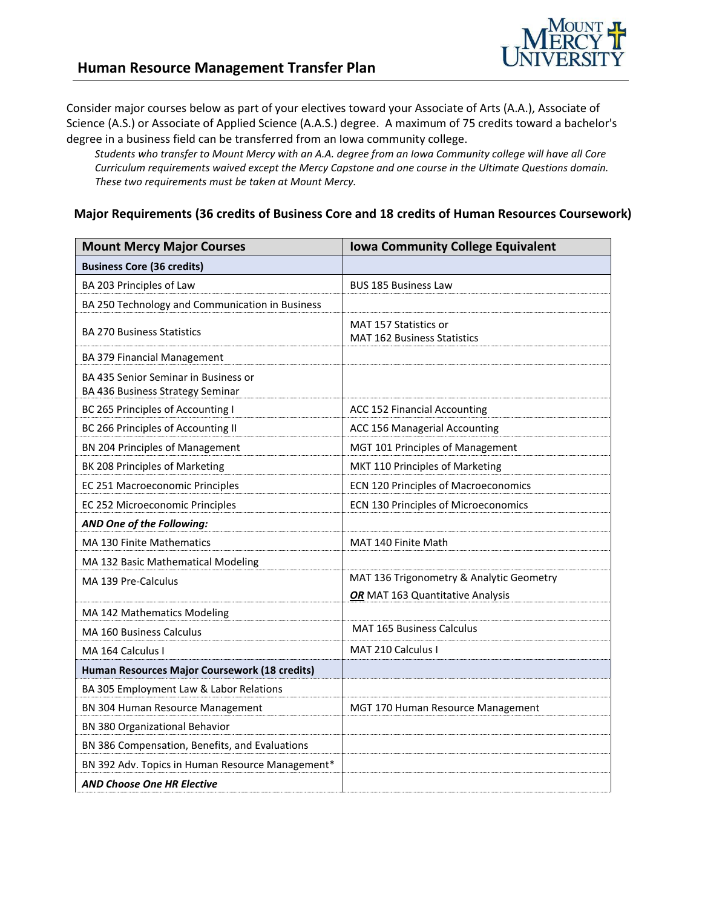

Consider major courses below as part of your electives toward your Associate of Arts (A.A.), Associate of Science (A.S.) or Associate of Applied Science (A.A.S.) degree. A maximum of 75 credits toward a bachelor's degree in a business field can be transferred from an Iowa community college.

*Students who transfer to Mount Mercy with an A.A. degree from an Iowa Community college will have all Core Curriculum requirements waived except the Mercy Capstone and one course in the Ultimate Questions domain. These two requirements must be taken at Mount Mercy.*

#### **Major Requirements (36 credits of Business Core and 18 credits of Human Resources Coursework)**

| <b>Mount Mercy Major Courses</b>                                         | <b>Iowa Community College Equivalent</b>                           |
|--------------------------------------------------------------------------|--------------------------------------------------------------------|
| <b>Business Core (36 credits)</b>                                        |                                                                    |
| BA 203 Principles of Law                                                 | <b>BUS 185 Business Law</b>                                        |
| BA 250 Technology and Communication in Business                          |                                                                    |
| <b>BA 270 Business Statistics</b>                                        | <b>MAT 157 Statistics or</b><br><b>MAT 162 Business Statistics</b> |
| BA 379 Financial Management                                              |                                                                    |
| BA 435 Senior Seminar in Business or<br>BA 436 Business Strategy Seminar |                                                                    |
| BC 265 Principles of Accounting I                                        | ACC 152 Financial Accounting                                       |
| BC 266 Principles of Accounting II                                       | ACC 156 Managerial Accounting                                      |
| BN 204 Principles of Management                                          | MGT 101 Principles of Management                                   |
| BK 208 Principles of Marketing                                           | MKT 110 Principles of Marketing                                    |
| EC 251 Macroeconomic Principles                                          | ECN 120 Principles of Macroeconomics                               |
| EC 252 Microeconomic Principles                                          | ECN 130 Principles of Microeconomics                               |
| AND One of the Following:                                                |                                                                    |
| <b>MA 130 Finite Mathematics</b>                                         | MAT 140 Finite Math                                                |
| MA 132 Basic Mathematical Modeling                                       |                                                                    |
| MA 139 Pre-Calculus                                                      | MAT 136 Trigonometry & Analytic Geometry                           |
|                                                                          | OR MAT 163 Quantitative Analysis                                   |
| MA 142 Mathematics Modeling                                              |                                                                    |
| <b>MA 160 Business Calculus</b>                                          | <b>MAT 165 Business Calculus</b>                                   |
| MA 164 Calculus I                                                        | <b>MAT 210 Calculus I</b>                                          |
| Human Resources Major Coursework (18 credits)                            |                                                                    |
| BA 305 Employment Law & Labor Relations                                  |                                                                    |
| BN 304 Human Resource Management                                         | MGT 170 Human Resource Management                                  |
| BN 380 Organizational Behavior                                           |                                                                    |
| BN 386 Compensation, Benefits, and Evaluations                           |                                                                    |
| BN 392 Adv. Topics in Human Resource Management*                         |                                                                    |
| <b>AND Choose One HR Elective</b>                                        |                                                                    |